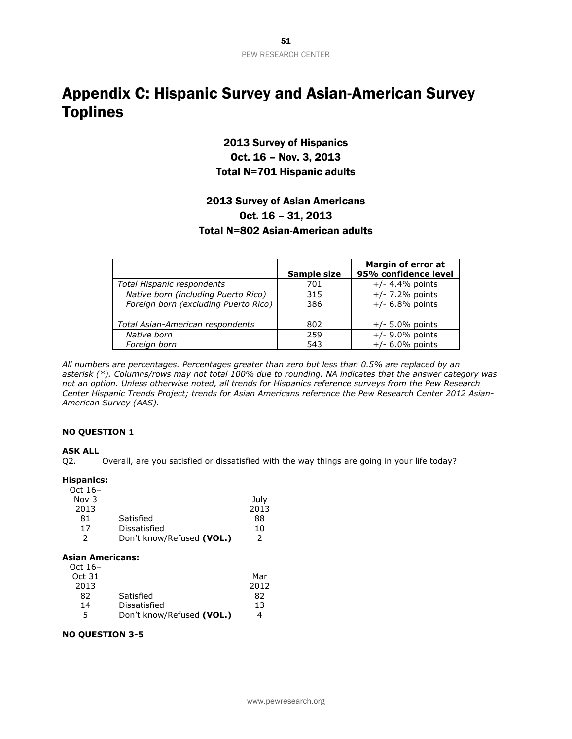## Appendix C: Hispanic Survey and Asian-American Survey Toplines

## 2013 Survey of Hispanics Oct. 16 – Nov. 3, 2013 Total N=701 Hispanic adults

### 2013 Survey of Asian Americans Oct. 16 – 31, 2013 Total N=802 Asian-American adults

|                                      | Sample size | Margin of error at<br>95% confidence level |
|--------------------------------------|-------------|--------------------------------------------|
| Total Hispanic respondents           | 701         | $+/- 4.4%$ points                          |
| Native born (including Puerto Rico)  | 315         | $+/- 7.2%$ points                          |
| Foreign born (excluding Puerto Rico) | 386         | $+/- 6.8%$ points                          |
|                                      |             |                                            |
| Total Asian-American respondents     | 802         | $+/- 5.0\%$ points                         |
| Native born                          | 259         | $+/-$ 9.0% points                          |
| Foreian born                         | 543         | $+/- 6.0\%$ points                         |

*All numbers are percentages. Percentages greater than zero but less than 0.5% are replaced by an asterisk (\*). Columns/rows may not total 100% due to rounding. NA indicates that the answer category was not an option. Unless otherwise noted, all trends for Hispanics reference surveys from the Pew Research Center Hispanic Trends Project; trends for Asian Americans reference the Pew Research Center 2012 Asian-American Survey (AAS).*

### **NO QUESTION 1**

### **ASK ALL**

Q2. Overall, are you satisfied or dissatisfied with the way things are going in your life today?

#### **Hispanics:**

| Oct $16-$ |                           |      |
|-----------|---------------------------|------|
| Nov $3$   |                           | July |
| 2013      |                           | 2013 |
| 81        | Satisfied                 | 88   |
| 17        | Dissatisfied              | 10   |
| 2         | Don't know/Refused (VOL.) | 2    |

### **Asian Americans:**

| Oct $16-$ |                           |      |
|-----------|---------------------------|------|
| Oct 31    |                           | Mar  |
| 2013      |                           | 2012 |
| 82        | Satisfied                 | 82   |
| 14        | Dissatisfied              | 13   |
| 5         | Don't know/Refused (VOL.) | 4    |

### **NO QUESTION 3-5**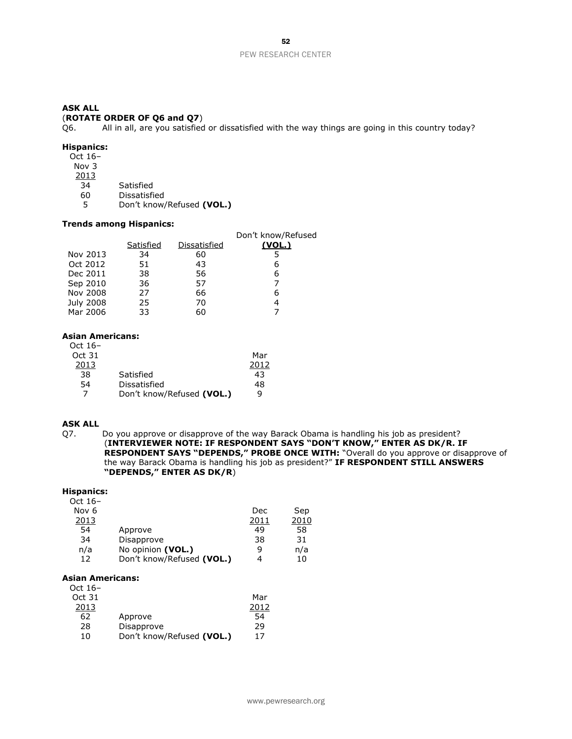### (**ROTATE ORDER OF Q6 and Q7**)

Q6. All in all, are you satisfied or dissatisfied with the way things are going in this country today?

### **Hispanics:**

Oct 16– Nov 3  $\frac{2013}{34}$ 

- 34 Satisfied<br>60 Dissatisfi
- 60 Dissatisfied<br>5 Don't know
- 5 Don't know/Refused **(VOL.)**

### **Trends among Hispanics:**

|           |              | Don't know/Refused |
|-----------|--------------|--------------------|
| Satisfied | Dissatisfied | (VOL.)             |
| 34        | 60           | 5                  |
| 51        | 43           | 6                  |
| 38        | 56           | 6                  |
| 36        | 57           |                    |
| 27        | 66           | 6                  |
| 25        | 70           | 4                  |
| 33        | 60           |                    |
|           |              |                    |

### **Asian Americans:**

Oct 16– Oct 31 2013 Mar 2012 38 Satisfied 43 54 Dissatisfied 48 7 Don't know/Refused **(VOL.)** 9

### **ASK ALL**

Q7. Do you approve or disapprove of the way Barack Obama is handling his job as president? (**INTERVIEWER NOTE: IF RESPONDENT SAYS "DON'T KNOW," ENTER AS DK/R. IF RESPONDENT SAYS "DEPENDS," PROBE ONCE WITH:** "Overall do you approve or disapprove of the way Barack Obama is handling his job as president?" **IF RESPONDENT STILL ANSWERS "DEPENDS," ENTER AS DK/R**)

#### **Hispanics:**

| Oct 16–          |                           |      |      |
|------------------|---------------------------|------|------|
| Nov <sub>6</sub> |                           | Dec  | Sep  |
| 2013             |                           | 2011 | 2010 |
| 54               | Approve                   | 49   | 58   |
| 34               | Disapprove                | 38   | 31   |
| n/a              | No opinion (VOL.)         | q    | n/a  |
| 12               | Don't know/Refused (VOL.) | 4    | 10   |
|                  |                           |      |      |

#### **Asian Americans:**

| Oct 16– |                           |      |
|---------|---------------------------|------|
| Oct 31  |                           | Mar  |
| 2013    |                           | 2012 |
| 62      | Approve                   | 54   |
| 28      | Disapprove                | 29   |
| 10      | Don't know/Refused (VOL.) | 17   |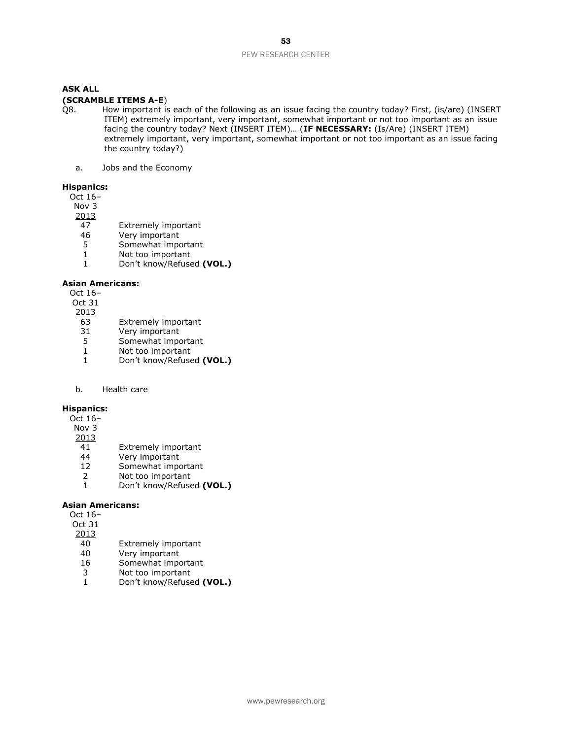### **(SCRAMBLE ITEMS A-E**)

- Q8. How important is each of the following as an issue facing the country today? First, (is/are) (INSERT ITEM) extremely important, very important, somewhat important or not too important as an issue facing the country today? Next (INSERT ITEM)… (**IF NECESSARY:** (Is/Are) (INSERT ITEM) extremely important, very important, somewhat important or not too important as an issue facing the country today?)
	- a. Jobs and the Economy

### **Hispanics:**

- Oct 16–
- Nov 3
- $\frac{2013}{47}$
- 47 Extremely important<br>46 Very important
- 46 Very important<br>5 Somewhat impo
- 5 Somewhat important
- 1 Not too important
- 1 Don't know/Refused **(VOL.)**

### **Asian Americans:**

- Oct 16–
- Oct 31
- $\frac{2013}{63}$
- 63 Extremely important<br>31 Very important
- Very important
- 5 Somewhat important
- 1 Not too important<br>1 Don't know/Refuse
- 1 Don't know/Refused **(VOL.)**

### b. Health care

#### **Hispanics:**

- Oct 16–
- Nov 3
- $\frac{2013}{41}$
- 41 Extremely important<br>44 Very important
- Very important
- 12 Somewhat important
- 2 Not too important 1 Don't know/Refused **(VOL.)**

- **Asian Americans:**
	- Oct 16–
	- Oct 31
	- $\frac{2013}{40}$
	- 40 Extremely important<br>40 Verv important
	- Very important
	- 16 Somewhat important
	- 3 Not too important<br>1 Don't know/Refuse
	- 1 Don't know/Refused **(VOL.)**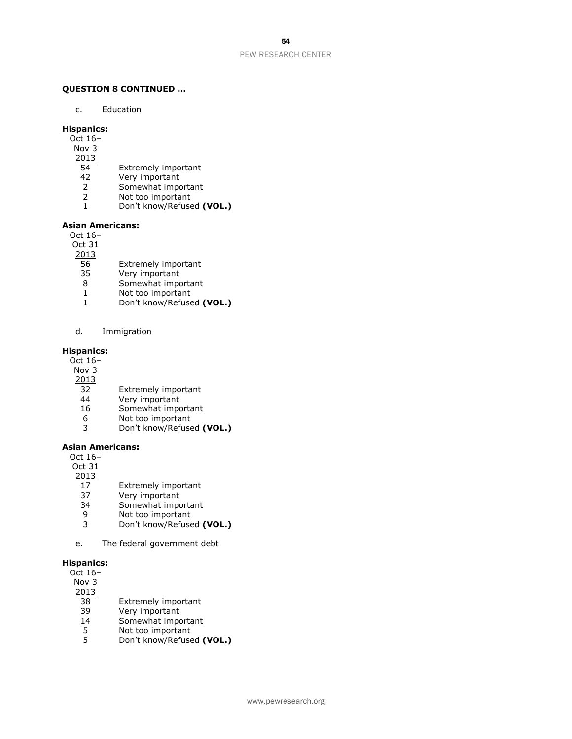### **QUESTION 8 CONTINUED …**

c. Education

### **Hispanics:**

- Oct 16–
- Nov 3
- 2013
- 54 Extremely important
- 42 Very important
- 2 Somewhat important<br>2 Not too important
- 2 Not too important<br>1 Don't know/Refuse
- 1 Don't know/Refused **(VOL.)**

### **Asian Americans:**

Oct 16–

Oct 31

2013

- 56 Extremely important
- 35 Very important
- 8 Somewhat important
- 1 Not too important
- 1 Don't know/Refused **(VOL.)**
- d. Immigration

### **Hispanics:**

- Oct 16–
- Nov 3
- 2013
- 32 Extremely important
- 44 Very important
- 16 Somewhat important
- 6 Not too important
- 3 Don't know/Refused **(VOL.)**

#### **Asian Americans:**

Oct 16–

Oct 31

- 2013
- 17 Extremely important
- 37 Very important
- 34 Somewhat important
- 9 Not too important
- 3 Don't know/Refused **(VOL.)**
- e. The federal government debt

#### **Hispanics:**

| Oct 16- |                            |
|---------|----------------------------|
| Nov 3   |                            |
| 2013    |                            |
| 38      | <b>Extremely important</b> |
| 39      | Very important             |
| 14      | Somewhat important         |
| 5       | Not too important          |

5 Not too important<br>5 Don't know/Refuse 5 Don't know/Refused **(VOL.)**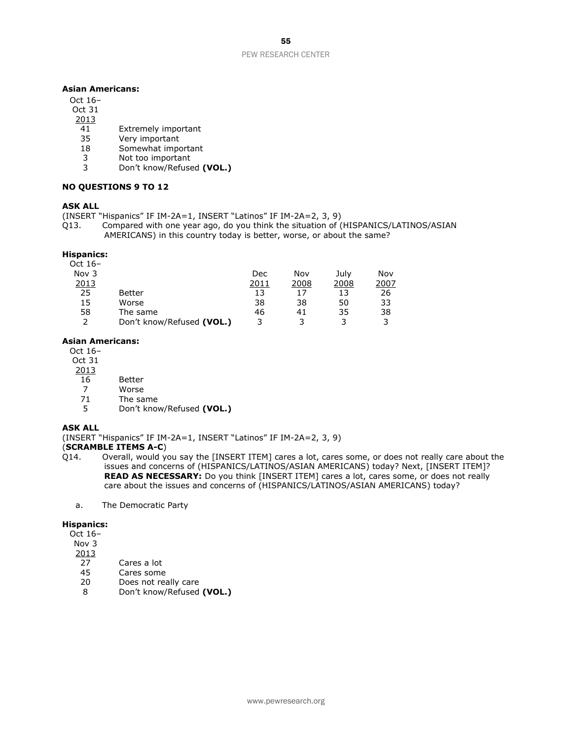#### **Asian Americans:**

### Oct 16–

- Oct 31
- 2013
- 41 Extremely important<br>35 Verv important
- 35 Very important<br>18 Somewhat import
- Somewhat important
- 3 Not too important
- 3 Don't know/Refused **(VOL.)**

#### **NO QUESTIONS 9 TO 12**

### **ASK ALL**

- (INSERT "Hispanics" IF IM-2A=1, INSERT "Latinos" IF IM-2A=2, 3, 9)
- Q13. Compared with one year ago, do you think the situation of (HISPANICS/LATINOS/ASIAN AMERICANS) in this country today is better, worse, or about the same?

### **Hispanics:**

| Oct $16-$ |                           |      |      |      |      |
|-----------|---------------------------|------|------|------|------|
| Nov $3$   |                           | Dec  | Nov  | July | Nov  |
| 2013      |                           | 2011 | 2008 | 2008 | 2007 |
| 25        | <b>Better</b>             | 13   | 17   | 13   | 26   |
| 15        | Worse                     | 38   | 38   | 50   | 33   |
| 58        | The same                  | 46   | 41   | 35   | 38   |
|           | Don't know/Refused (VOL.) | ર    |      |      | 3    |

#### **Asian Americans:**

Oct 16–

- Oct 31
- 2013
	- 16 Better
- 7 Worse
- 71 The same
- 5 Don't know/Refused **(VOL.)**

### **ASK ALL**

(INSERT "Hispanics" IF IM-2A=1, INSERT "Latinos" IF IM-2A=2, 3, 9)

### (**SCRAMBLE ITEMS A-C**)

- Q14. Overall, would you say the [INSERT ITEM] cares a lot, cares some, or does not really care about the issues and concerns of (HISPANICS/LATINOS/ASIAN AMERICANS) today? Next, [INSERT ITEM]? **READ AS NECESSARY:** Do you think [INSERT ITEM] cares a lot, cares some, or does not really care about the issues and concerns of (HISPANICS/LATINOS/ASIAN AMERICANS) today?
	- a. The Democratic Party

### **Hispanics:**

- Oct 16–
- Nov 3
- 2013
- 27 Cares a lot<br>45 Cares some
- 45 Cares some<br>20 Does not rea
- Does not really care
- 8 Don't know/Refused **(VOL.)**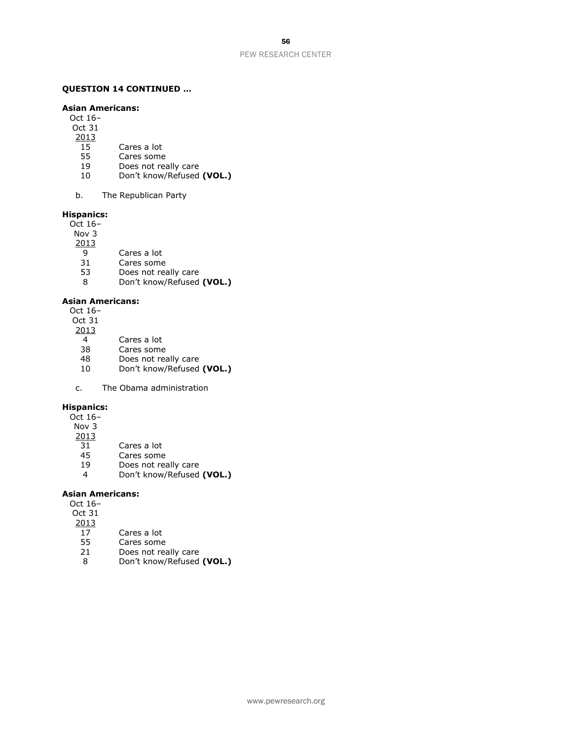#### **QUESTION 14 CONTINUED …**

#### **Asian Americans:**

- Oct 16–
- Oct 31
- $\frac{2013}{15}$
- 15 Cares a lot<br>55 Cares some
- Cares some
- 19 Does not really care
- 10 Don't know/Refused **(VOL.)**
- b. The Republican Party

### **Hispanics:**

- Oct 16– Nov 3
- 2013
	- 9 Cares a lot
	-
- 31 Cares some<br>53 Does not rea
- 53 Does not really care<br>8 Don't know/Refused 8 Don't know/Refused **(VOL.)**

### **Asian Americans:**

- Oct 16–
- Oct 31
- 2013
	- 4 Cares a lot<br>38 Cares some
- 38 Cares some<br>48 Does not rea
- 48 Does not really care<br>10 Don't know/Refused
- 10 Don't know/Refused **(VOL.)**
- c. The Obama administration

### **Hispanics:**

- Oct 16–
- Nov 3
- 2013
- 31 Cares a lot
- 45 Cares some
- 19 Does not really care
- 4 Don't know/Refused **(VOL.)**

### **Asian Americans:**

Oct 16–

- Oct 31
- 2013
- 17 Cares a lot
- 55 Cares some
- 21 Does not really care
- 8 Don't know/Refused **(VOL.)**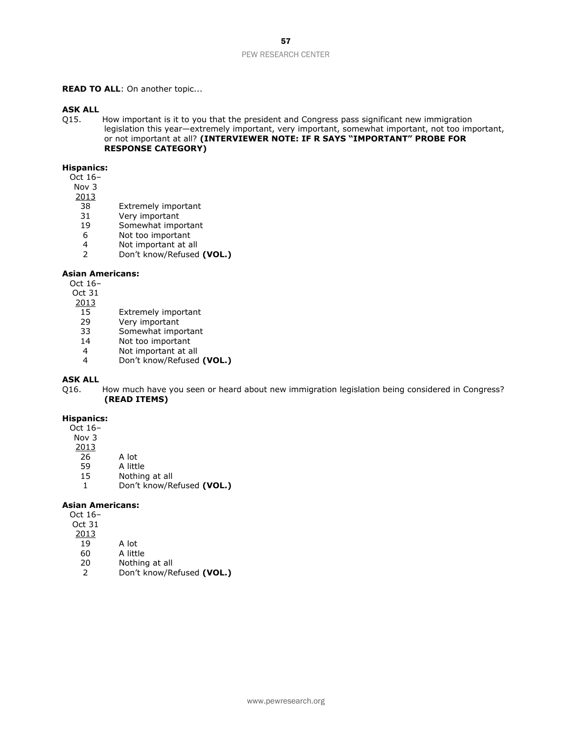#### **READ TO ALL:** On another topic...

# **ASK ALL**<br>Q15.

How important is it to you that the president and Congress pass significant new immigration legislation this year—extremely important, very important, somewhat important, not too important, or not important at all? **(INTERVIEWER NOTE: IF R SAYS "IMPORTANT" PROBE FOR RESPONSE CATEGORY)**

#### **Hispanics:**

Oct 16–

- Nov 3
- $\frac{2013}{38}$ 
	- Extremely important
- 31 Very important<br>19 Somewhat import
- Somewhat important
- 6 Not too important
- 4 Not important at all
- 2 Don't know/Refused **(VOL.)**

#### **Asian Americans:**

Oct 16–

Oct 31

- 2013
- 15 Extremely important<br>29 Very important
- 29 Very important<br>33 Somewhat impo
- Somewhat important
- 14 Not too important
- 4 Not important at all<br>4 Don't know/Refused
- 4 Don't know/Refused **(VOL.)**

### **ASK ALL**

Q16. How much have you seen or heard about new immigration legislation being considered in Congress? **(READ ITEMS)**

#### **Hispanics:**

- Oct 16– Nov 3
- 
- $\frac{2013}{26}$
- 26 A lot<br>59 A littl 59 A little
- 15 Nothing at all
- 1 Don't know/Refused **(VOL.)**

#### **Asian Americans:**

| Oct 16– |              |
|---------|--------------|
| Oct 31  |              |
| 2013    |              |
| 19      | A lot        |
| 60      | A little     |
| 20      | Nothing at a |

20 Nothing at all 2 Don't know/Refused **(VOL.)**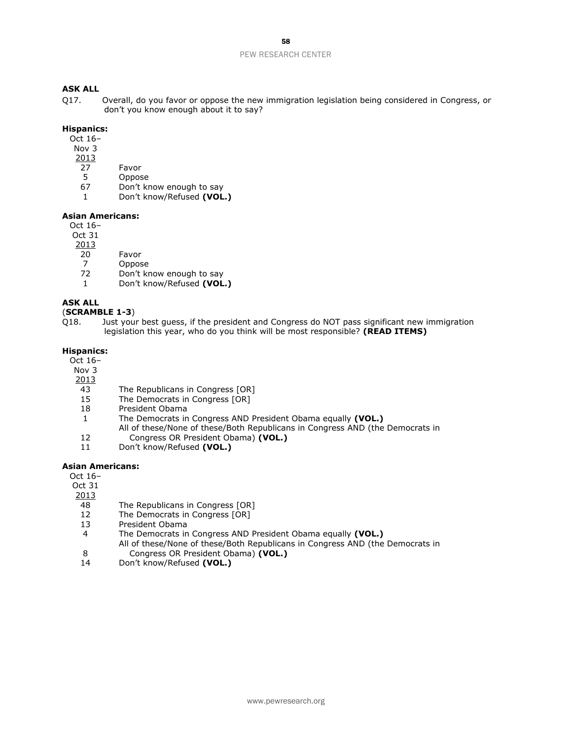### **ASK ALL**

Q17. Overall, do you favor or oppose the new immigration legislation being considered in Congress, or don't you know enough about it to say?

### **Hispanics:**

- Oct 16–
- Nov 3
- 2013
- 27 Favor
- 5 Oppose
- 67 Don't know enough to say
- 1 Don't know/Refused **(VOL.)**

#### **Asian Americans:**

Oct 16–

Oct 31

2013

- 20 Favor
- 7 Oppose<br>72 Don't kr
- Don't know enough to say
- 1 Don't know/Refused **(VOL.)**

### **ASK ALL**

(**SCRAMBLE 1-3**)

Q18. Just your best guess, if the president and Congress do NOT pass significant new immigration legislation this year, who do you think will be most responsible? **(READ ITEMS)**

### **Hispanics:**

Oct 16–

- Nov 3
- 2013
- 43 The Republicans in Congress [OR]
- 15 The Democrats in Congress [OR]
- 18 President Obama
- 1 The Democrats in Congress AND President Obama equally **(VOL.)**
	- All of these/None of these/Both Republicans in Congress AND (the Democrats in
- Congress OR President Obama) **(VOL.)**
- $\begin{array}{c} 12 \\ 11 \end{array}$ Don't know/Refused **(VOL.)**

### **Asian Americans:**

Oct 16–

Oct 31

2013

- 48 The Republicans in Congress [OR]
- 12 The Democrats in Congress [OR]
- 13 President Obama
- 4 The Democrats in Congress AND President Obama equally **(VOL.)**
- 8 All of these/None of these/Both Republicans in Congress AND (the Democrats in Congress OR President Obama) **(VOL.)**
- 14 Don't know/Refused **(VOL.)**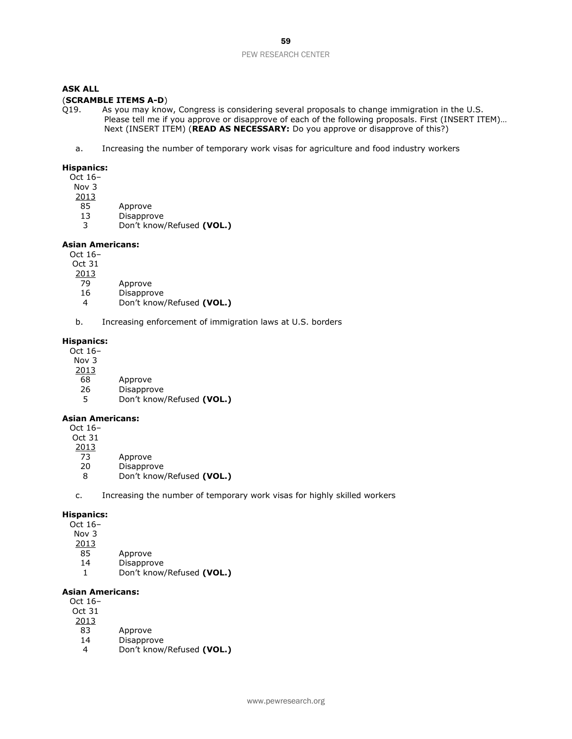### (**SCRAMBLE ITEMS A-D**)

- Q19. As you may know, Congress is considering several proposals to change immigration in the U.S. Please tell me if you approve or disapprove of each of the following proposals. First (INSERT ITEM)… Next (INSERT ITEM) (**READ AS NECESSARY:** Do you approve or disapprove of this?)
	- a. Increasing the number of temporary work visas for agriculture and food industry workers

#### **Hispanics:**

Oct 16–

- Nov 3
- 2013
- 85 Approve
- 
- 13 Disapprove<br>3 Don't know 3 Don't know/Refused **(VOL.)**

#### **Asian Americans:**

Oct 16–

- Oct 31
- 2013
- 79 Approve
- 16 Disapprove
- 4 Don't know/Refused **(VOL.)**
- b. Increasing enforcement of immigration laws at U.S. borders

#### **Hispanics:**

Oct 16–

- Nov 3
- 2013
	- 68 Approve
	- 26 Disapprove
	- 5 Don't know/Refused **(VOL.)**

### **Asian Americans:**

Oct 16–

- Oct 31
- $\frac{2013}{73}$ 
	- Approve
	- 20 Disapprove
	- 8 Don't know/Refused **(VOL.)**
- c. Increasing the number of temporary work visas for highly skilled workers

#### **Hispanics:**

Oct 16–

- Nov 3
- $\frac{2013}{85}$
- Approve
- 14 Disapprove
- 1 Don't know/Refused **(VOL.)**

### **Asian Americans:**

- Oct 16–
- Oct 31
- 2013
- 83 Approve
- 14 Disapprove
- 4 Don't know/Refused **(VOL.)**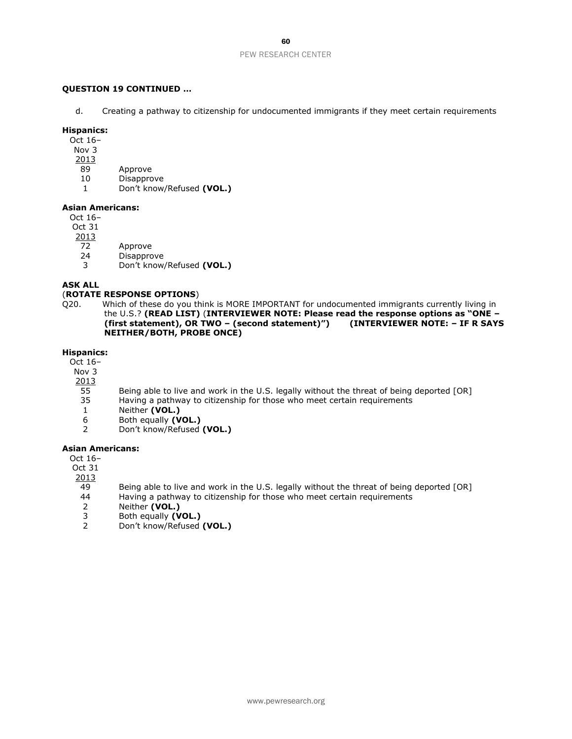### **QUESTION 19 CONTINUED …**

d. Creating a pathway to citizenship for undocumented immigrants if they meet certain requirements

#### **Hispanics:**

Oct 16–

- Nov 3
- 2013
- 89 Approve
- 10 Disapprove
- 1 Don't know/Refused **(VOL.)**

### **Asian Americans:**

Oct 16– Oct 31

- 2013
- 72 Approve
- 24 Disapprove
- 3 Don't know/Refused **(VOL.)**

### **ASK ALL**

### (**ROTATE RESPONSE OPTIONS**)

Q20. Which of these do you think is MORE IMPORTANT for undocumented immigrants currently living in the U.S.? **(READ LIST)** (**INTERVIEWER NOTE: Please read the response options as "ONE – (first statement), OR TWO – (second statement)") (INTERVIEWER NOTE: – IF R SAYS NEITHER/BOTH, PROBE ONCE)**

#### **Hispanics:**

Oct 16–

- Nov 3
- 2013
- 55 Being able to live and work in the U.S. legally without the threat of being deported [OR]<br>35 Having a pathway to citizenship for those who meet certain requirements
- 35 Having a pathway to citizenship for those who meet certain requirements<br>1 Neither (VOL.)
- Neither (VOL.)
- 6 Both equally **(VOL.)**
- 2 Don't know/Refused **(VOL.)**

### **Asian Americans:**

Oct 16–

Oct 31

 $\frac{2013}{49}$ 

- 49 Being able to live and work in the U.S. legally without the threat of being deported [OR]<br>44 Having a pathway to citizenship for those who meet certain requirements
- 44 Having a pathway to citizenship for those who meet certain requirements<br>2 Neither (VOL.)
- 2 Neither **(VOL.)**<br>3 Both equally **(V**
- Both equally **(VOL.)**
- 2 Don't know/Refused **(VOL.)**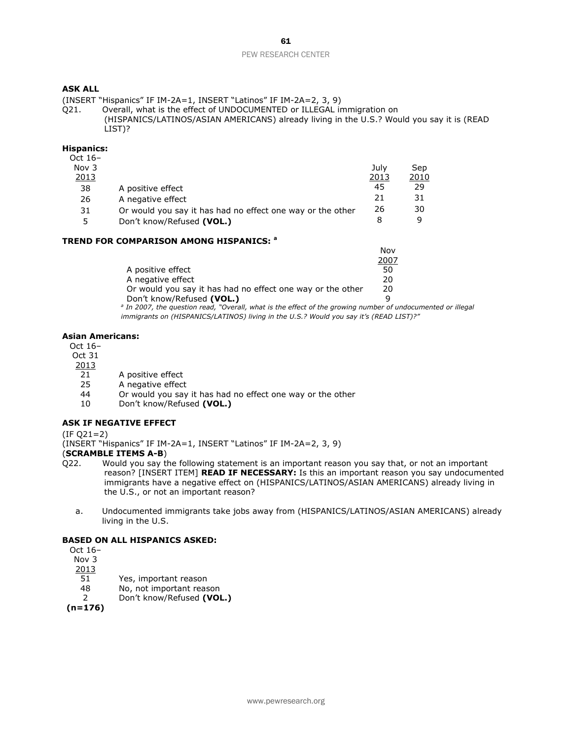(INSERT "Hispanics" IF IM-2A=1, INSERT "Latinos" IF IM-2A=2, 3, 9)

Q21. Overall, what is the effect of UNDOCUMENTED or ILLEGAL immigration on (HISPANICS/LATINOS/ASIAN AMERICANS) already living in the U.S.? Would you say it is (READ LIST)?

### **Hispanics:**

|                                                            | Julv | Sep  |
|------------------------------------------------------------|------|------|
|                                                            | 2013 | 2010 |
| A positive effect                                          | 45   | 29   |
| A negative effect                                          | 21   | 31   |
| Or would you say it has had no effect one way or the other | 26   | 30   |
| Don't know/Refused (VOL.)                                  | 8    | 9    |
|                                                            |      |      |

### **TREND FOR COMPARISON AMONG HISPANICS: <sup>a</sup>**

| <b>NOV</b>                                                       |
|------------------------------------------------------------------|
| 2007                                                             |
| 50                                                               |
| 20                                                               |
| Or would you say it has had no effect one way or the other<br>20 |
| q                                                                |
|                                                                  |

*a In 2007, the question read, "Overall, what is the effect of the growing number of undocumented or illegal immigrants on (HISPANICS/LATINOS) living in the U.S.? Would you say it's (READ LIST)?"* 

Nov

#### **Asian Americans:**

Oct 16–

- Oct 31
- 2013
- 21 A positive effect
- 25 A negative effect
- 44 Or would you say it has had no effect one way or the other
- 10 Don't know/Refused **(VOL.)**

### **ASK IF NEGATIVE EFFECT**

(IF Q21=2)

(INSERT "Hispanics" IF IM-2A=1, INSERT "Latinos" IF IM-2A=2, 3, 9)

(**SCRAMBLE ITEMS A-B**)

- Q22. Would you say the following statement is an important reason you say that, or not an important reason? [INSERT ITEM] **READ IF NECESSARY:** Is this an important reason you say undocumented immigrants have a negative effect on (HISPANICS/LATINOS/ASIAN AMERICANS) already living in the U.S., or not an important reason?
	- a. Undocumented immigrants take jobs away from (HISPANICS/LATINOS/ASIAN AMERICANS) already living in the U.S.

### **BASED ON ALL HISPANICS ASKED:**

Oct 16–

Nov 3

2013 51 Yes, important reason

- 48 No, not important reason
- 2 Don't know/Refused **(VOL.)**

**(n=176)**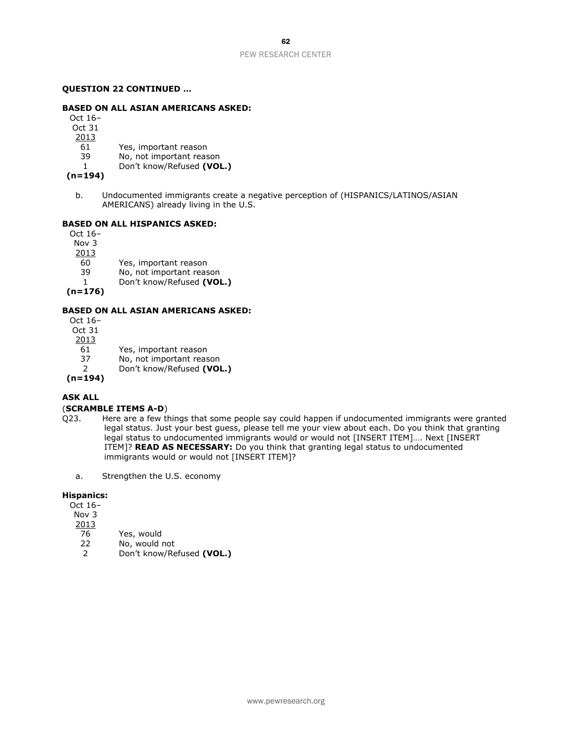### **QUESTION 22 CONTINUED …**

#### **BASED ON ALL ASIAN AMERICANS ASKED:**

Oct 16–

Oct 31

2013

61 Yes, important reason

- 39 No, not important reason
- 1 Don't know/Refused **(VOL.)**

**(n=194)**

b. Undocumented immigrants create a negative perception of (HISPANICS/LATINOS/ASIAN AMERICANS) already living in the U.S.

#### **BASED ON ALL HISPANICS ASKED:**

Oct 16– Nov 3

2013

- 60 Yes, important reason<br>39 No. not important reason
- 39 No, not important reason<br>1 Don't know/Refused (VOI 1 Don't know/Refused **(VOL.)**

**(n=176)**

### **BASED ON ALL ASIAN AMERICANS ASKED:**

| Don't know/Refused (VOL.) |
|---------------------------|
| No, not important reason  |
| Yes, important reason     |
|                           |
|                           |
|                           |
|                           |

### **ASK ALL**

### (**SCRAMBLE ITEMS A-D**)

- Q23. Here are a few things that some people say could happen if undocumented immigrants were granted legal status. Just your best guess, please tell me your view about each. Do you think that granting legal status to undocumented immigrants would or would not [INSERT ITEM]…. Next [INSERT ITEM]? **READ AS NECESSARY:** Do you think that granting legal status to undocumented immigrants would or would not [INSERT ITEM]?
	- a. Strengthen the U.S. economy

### **Hispanics:**

Oct 16–

- Nov 3
- 2013
- 76 Yes, would<br>22 No, would r
- 22 No, would not<br>2 Don't know/Re
- 2 Don't know/Refused **(VOL.)**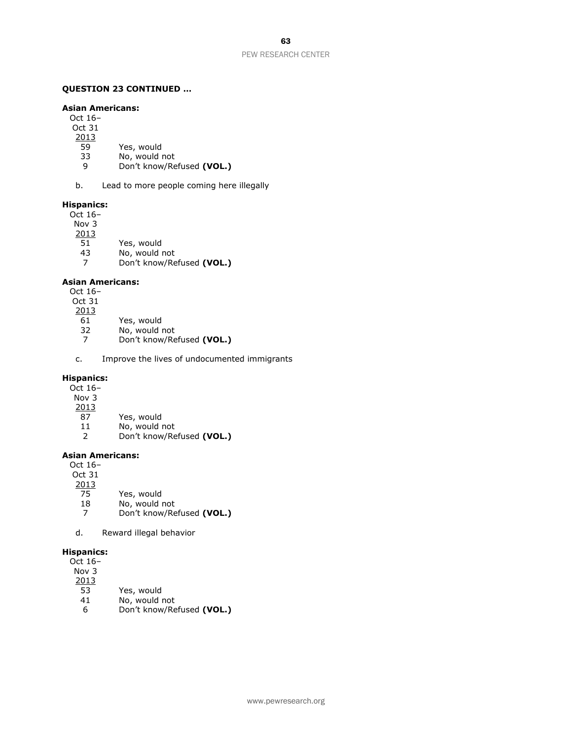### **QUESTION 23 CONTINUED …**

### **Asian Americans:**

- Oct 16–
- Oct 31
- $\frac{2013}{59}$
- 59 Yes, would<br>33 No, would i
- No, would not
- 9 Don't know/Refused **(VOL.)**
- b. Lead to more people coming here illegally

### **Hispanics:**

- Oct 16–
- Nov 3

2013

- 51 Yes, would
- 
- 43 No, would not<br>7 Don't know/Re 7 Don't know/Refused **(VOL.)**

### **Asian Americans:**

- Oct 16–
- Oct 31
- 2013
- 61 Yes, would
- 32 No, would not
- 7 Don't know/Refused **(VOL.)**
- c. Improve the lives of undocumented immigrants

#### **Hispanics:**

Oct 16–

- Nov 3
- $\frac{2013}{87}$
- Yes, would
- 11 No, would not 2 Don't know/Refused **(VOL.)**

#### **Asian Americans:**

| Oct $16-$ |                           |
|-----------|---------------------------|
| Oct 31    |                           |
| 2013      |                           |
| 75        | Yes, would                |
| 18        | No, would not             |
| 7         | Don't know/Refused (VOL.) |
|           |                           |

d. Reward illegal behavior

#### **Hispanics:**

- Oct 16– Nov 3  $\frac{2013}{53}$ Yes, would 41 No, would not
	- 6 Don't know/Refused **(VOL.)**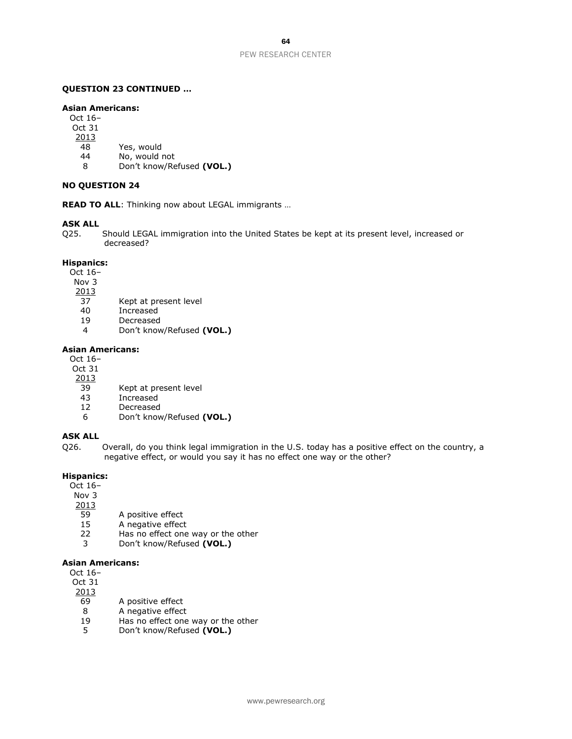#### **QUESTION 23 CONTINUED …**

#### **Asian Americans:**

Oct 16–

Oct 31

- 2013
- 48 Yes, would
- 44 No, would not
- 8 Don't know/Refused **(VOL.)**

### **NO QUESTION 24**

**READ TO ALL**: Thinking now about LEGAL immigrants …

### **ASK ALL**

Q25. Should LEGAL immigration into the United States be kept at its present level, increased or decreased?

#### **Hispanics:**

- Oct 16–
- Nov 3
- 2013
- 37 Kept at present level
- 40 Increased
- 19 Decreased
- 4 Don't know/Refused **(VOL.)**

### **Asian Americans:**

Oct 16–

- Oct 31
- 2013
- 39 Kept at present level<br>43 Increased
- 43 Increased<br>12 Decreased
- **Decreased**
- 6 Don't know/Refused **(VOL.)**

### **ASK ALL**

Q26. Overall, do you think legal immigration in the U.S. today has a positive effect on the country, a negative effect, or would you say it has no effect one way or the other?

### **Hispanics:**

Oct 16–

Nov 3

- 2013
- 59 A positive effect
- 15 A negative effect
- 22 Has no effect one way or the other<br>3 Don't know/Refused (VOL.)
- 3 Don't know/Refused **(VOL.)**

#### **Asian Americans:**

Oct 16–

- Oct 31 2013
	- 69 A positive effect
	- 8 A negative effect
	- 19 Has no effect one way or the other
	- 5 Don't know/Refused **(VOL.)**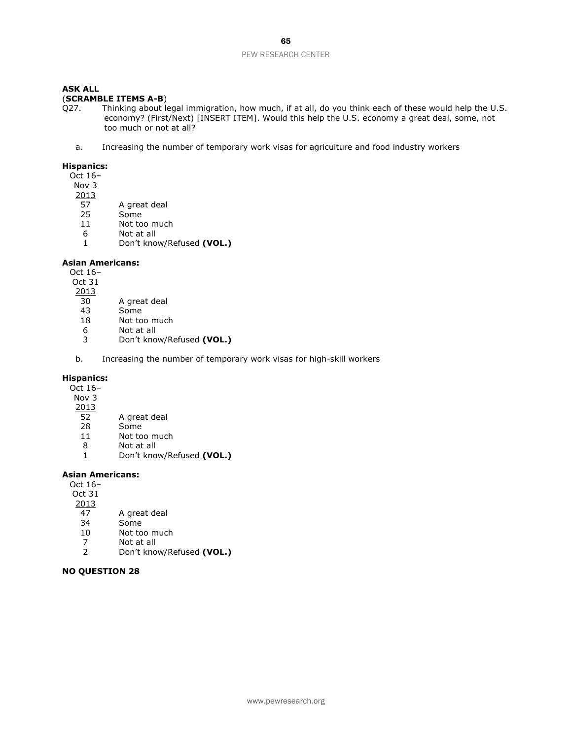### **ASK ALL**

### (**SCRAMBLE ITEMS A-B**)

Q27. Thinking about legal immigration, how much, if at all, do you think each of these would help the U.S. economy? (First/Next) [INSERT ITEM]. Would this help the U.S. economy a great deal, some, not too much or not at all?

a. Increasing the number of temporary work visas for agriculture and food industry workers

### **Hispanics:**

Oct 16–

- Nov 3
- $\frac{2013}{57}$ 
	- A great deal
- 25 Some
- 11 Not too much
- 6 Not at all
- 1 Don't know/Refused **(VOL.)**

#### **Asian Americans:**

Oct 16–

Oct 31

- 2013
- 30 A great deal
- 43 Some
- 18 Not too much
- 6 Not at all
- 3 Don't know/Refused **(VOL.)**
- b. Increasing the number of temporary work visas for high-skill workers

### **Hispanics:**

Oct 16–

- Nov 3
- $\frac{2013}{52}$
- A great deal 28 Some
- 11 Not too much
- 8 Not at all
- 1 Don't know/Refused **(VOL.)**

### **Asian Americans:**

Oct 16–

- Oct 31
- 2013
- 47 A great deal
- Some
- 10 Not too much
- 7 Not at all
- 2 Don't know/Refused **(VOL.)**

### **NO QUESTION 28**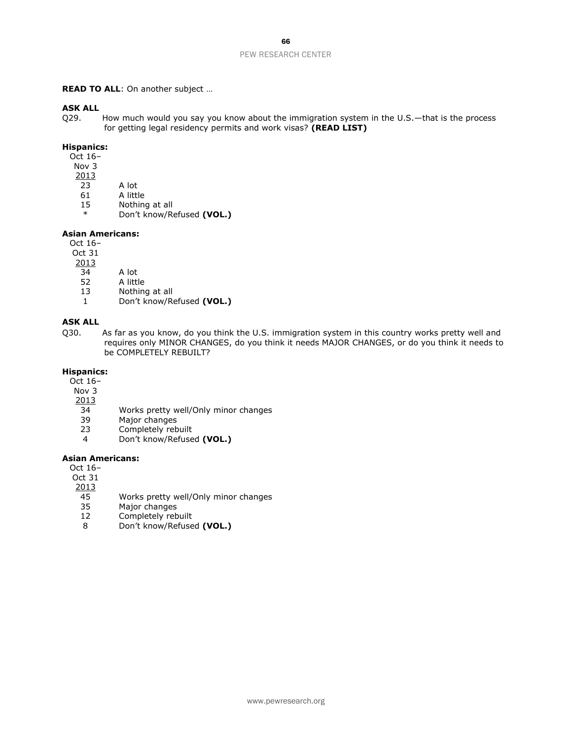#### **READ TO ALL**: On another subject …

### **ASK ALL**

Q29. How much would you say you know about the immigration system in the U.S.—that is the process for getting legal residency permits and work visas? **(READ LIST)**

### **Hispanics:**

Oct 16–

- Nov 3
- $\frac{2013}{23}$
- $\begin{array}{c|c}\n\overline{23} & \text{A lot} \\
61 & \text{A little}\n\end{array}$
- 61 A little<br>15 Nothine
- Nothing at all
- \* Don't know/Refused **(VOL.)**

### **Asian Americans:**

Oct 16–

Oct 31

- $\frac{2013}{34}$
- $\overline{34}$  A lot<br>52 A littl
- 52 A little<br>13 Nothing
- Nothing at all
- 1 Don't know/Refused **(VOL.)**

### **ASK ALL**

Q30. As far as you know, do you think the U.S. immigration system in this country works pretty well and requires only MINOR CHANGES, do you think it needs MAJOR CHANGES, or do you think it needs to be COMPLETELY REBUILT?

### **Hispanics:**

- Oct 16–
- Nov 3
- $\frac{2013}{34}$
- 34 Works pretty well/Only minor changes<br>39 Major changes
- 39 Major changes<br>23 Completely reb
- Completely rebuilt
- 4 Don't know/Refused **(VOL.)**

#### **Asian Americans:**

Oct 16–

Oct 31

- $\frac{2013}{45}$
- 45 Works pretty well/Only minor changes<br>35 Maior changes
- 35 Major changes<br>12 Completely reb
- Completely rebuilt
- 8 Don't know/Refused **(VOL.)**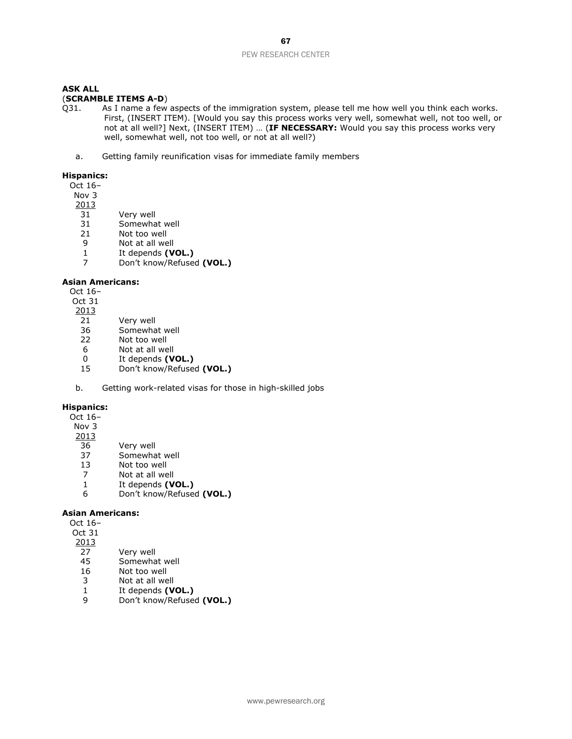### (**SCRAMBLE ITEMS A-D**)

- Q31. As I name a few aspects of the immigration system, please tell me how well you think each works. First, (INSERT ITEM). [Would you say this process works very well, somewhat well, not too well, or not at all well?] Next, (INSERT ITEM) … (**IF NECESSARY:** Would you say this process works very well, somewhat well, not too well, or not at all well?)
	- a. Getting family reunification visas for immediate family members

#### **Hispanics:**

Oct 16–

Nov 3

- 2013
	- 31 Very well
	- 31 Somewhat well
	- 21 Not too well
	- 9 Not at all well
	- 1 It depends **(VOL.)** 7 Don't know/Refused **(VOL.)**

#### **Asian Americans:**

Oct 16–

- Oct 31
- 2013
- 21 Very well
- 36 Somewhat well
- 22 Not too well
- 6 Not at all well<br>0 It depends (V
- 0 It depends **(VOL.)**<br>15 Don't know/Refuse
- 15 Don't know/Refused **(VOL.)**
- b. Getting work-related visas for those in high-skilled jobs

### **Hispanics:**

- Oct 16–
- Nov 3
- 2013
- 36 Very well
- 37 Somewhat well
- 13 Not too well
- 7 Not at all well<br>1 It depends (V
- 1 It depends **(VOL.)**<br>6 Don't know/Refuse
- 6 Don't know/Refused **(VOL.)**

#### **Asian Americans:**  $\Omega$

| Oct 16– |                   |
|---------|-------------------|
| Oct 31  |                   |
| 2013    |                   |
| 27      | Very well         |
| 45      | Somewhat well     |
| 16      | Not too well      |
| 3       | Not at all well   |
| 1       | It depends (VOL.) |
|         |                   |

9 Don't know/Refused **(VOL.)**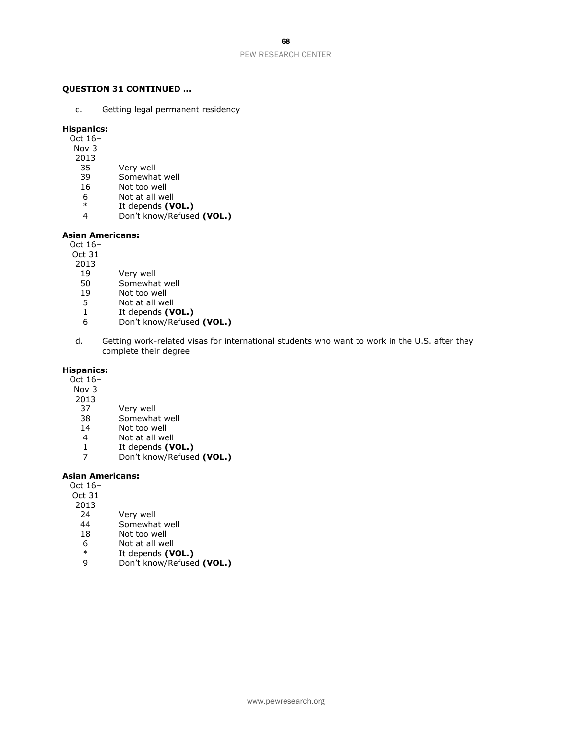### **QUESTION 31 CONTINUED …**

c. Getting legal permanent residency

### **Hispanics:**

Oct 16–

- Nov 3
- 2013
- 35 Very well
- 39 Somewhat well
- 16 Not too well
- $6$  Not at all well<br>  $*$  It depends  $\gamma$
- \* It depends **(VOL.)**
- 4 Don't know/Refused **(VOL.)**

### **Asian Americans:**

Oct 16–

Oct 31

- 2013
	-
- 19 Very well<br>50 Somewha
- 50 Somewhat well<br>19 Not too well Not too well
- 
- 5 Not at all well<br>1 It depends (V
- 1 It depends **(VOL.)**<br>6 Don't know/Refuse 6 Don't know/Refused **(VOL.)**
- d. Getting work-related visas for international students who want to work in the U.S. after they complete their degree

### **Hispanics:**

Oct 16–

- Nov 3
- $\frac{2013}{37}$ 
	- Very well
- 38 Somewhat well
- 14 Not too well
- 4 Not at all well<br>1 It depends (V
- 1 It depends **(VOL.)**<br>7 Don't know/Refused
- 7 Don't know/Refused **(VOL.)**

### **Asian Americans:**

Oct 16–

- Oct 31
- 2013
- 24 Very well
- 44 Somewhat well<br>18 Not too well
- Not too well
- $6$  Not at all well<br>  $*$  It depends  $\gamma$
- \* It depends **(VOL.)**
- 9 Don't know/Refused **(VOL.)**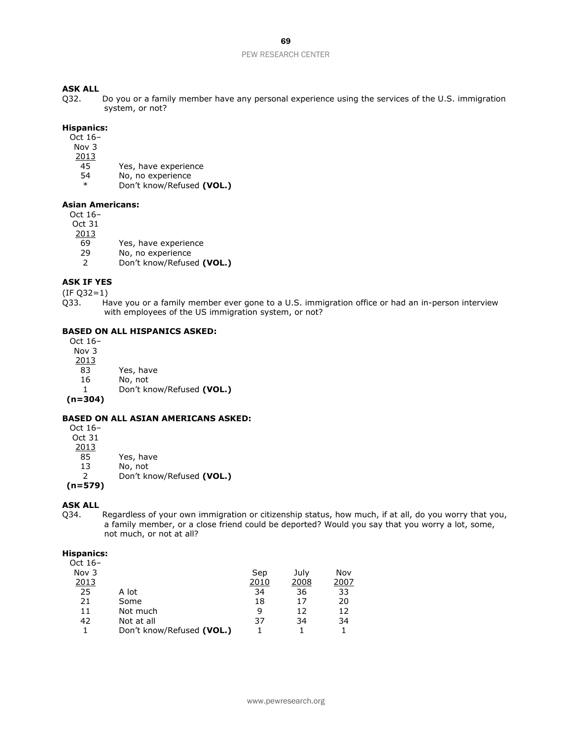### **ASK ALL**

Q32. Do you or a family member have any personal experience using the services of the U.S. immigration system, or not?

### **Hispanics:**

- Oct 16–
- Nov 3
- 2013
- 45 Yes, have experience
- 54 No, no experience
- Don't know/Refused **(VOL.)**

### **Asian Americans:**

Oct 16–

Oct 31

- 2013
	- 69 Yes, have experience
	- 29 No, no experience<br>2 Don't know/Refuse
	- 2 Don't know/Refused **(VOL.)**

### **ASK IF YES**

(IF Q32=1)

Q33. Have you or a family member ever gone to a U.S. immigration office or had an in-person interview with employees of the US immigration system, or not?

### **BASED ON ALL HISPANICS ASKED:**

Oct 16– Nov 3  $\frac{2013}{83}$ Yes, have 16 No, not 1 Don't know/Refused **(VOL.) (n=304)**

### **BASED ON ALL ASIAN AMERICANS ASKED:**

Oct 16– Oct 31  $\frac{2013}{85}$ Yes, have 13 No, not 2 Don't know/Refused **(VOL.) (n=579)**

### **ASK ALL**

Q34. Regardless of your own immigration or citizenship status, how much, if at all, do you worry that you, a family member, or a close friend could be deported? Would you say that you worry a lot, some, not much, or not at all?

#### **Hispanics:**

| pu      |                           |      |      |      |
|---------|---------------------------|------|------|------|
| Oct 16- |                           |      |      |      |
| Nov $3$ |                           | Sep  | July | Nov  |
| 2013    |                           | 2010 | 2008 | 2007 |
| 25      | A lot                     | 34   | 36   | 33   |
| 21      | Some                      | 18   | 17   | 20   |
| 11      | Not much                  | q    | 12   | 12   |
| 42      | Not at all                | 37   | 34   | 34   |
|         | Don't know/Refused (VOL.) |      |      |      |
|         |                           |      |      |      |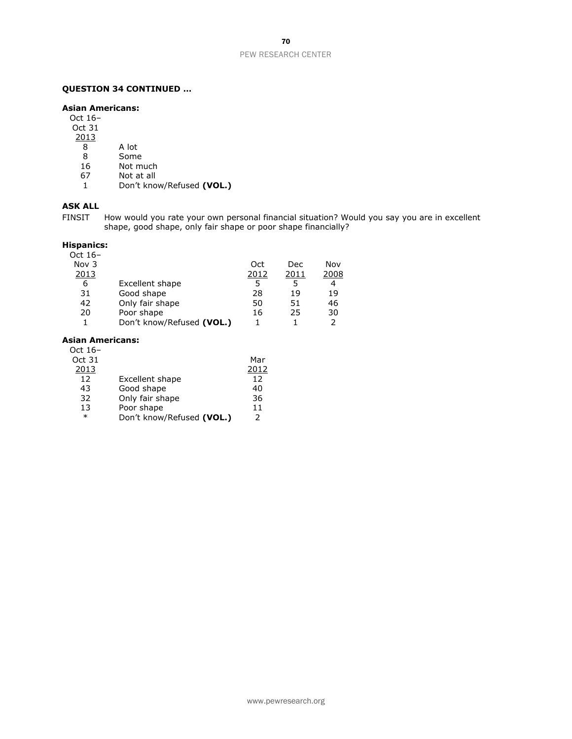### **QUESTION 34 CONTINUED …**

### **Asian Americans:**

Oct 16–

- Oct 31
- $\frac{2013}{8}$ 
	- 8 A lot<br>8 Some
	- Some
- 16 Not much
- 67 Not at all
- 1 Don't know/Refused **(VOL.)**

### **ASK ALL**

FINSIT How would you rate your own personal financial situation? Would you say you are in excellent shape, good shape, only fair shape or poor shape financially?

### **Hispanics:**

| Oct $16-$ |                           |      |      |      |
|-----------|---------------------------|------|------|------|
| Nov 3     |                           | Oct  | Dec  | Nov  |
| 2013      |                           | 2012 | 2011 | 2008 |
| 6         | Excellent shape           | 5    | 5    | 4    |
| 31        | Good shape                | 28   | 19   | 19   |
| 42        | Only fair shape           | 50   | 51   | 46   |
| 20        | Poor shape                | 16   | 25   | 30   |
| 1         | Don't know/Refused (VOL.) |      |      | 2    |
|           |                           |      |      |      |

### **Asian Americans:**

| Oct 16- |                           |               |
|---------|---------------------------|---------------|
| Oct 31  |                           | Mar           |
| 2013    |                           | 2012          |
| 12      | Excellent shape           | 12            |
| 43      | Good shape                | 40            |
| 32      | Only fair shape           | 36            |
| 13      | Poor shape                | 11            |
| $\ast$  | Don't know/Refused (VOL.) | $\mathcal{P}$ |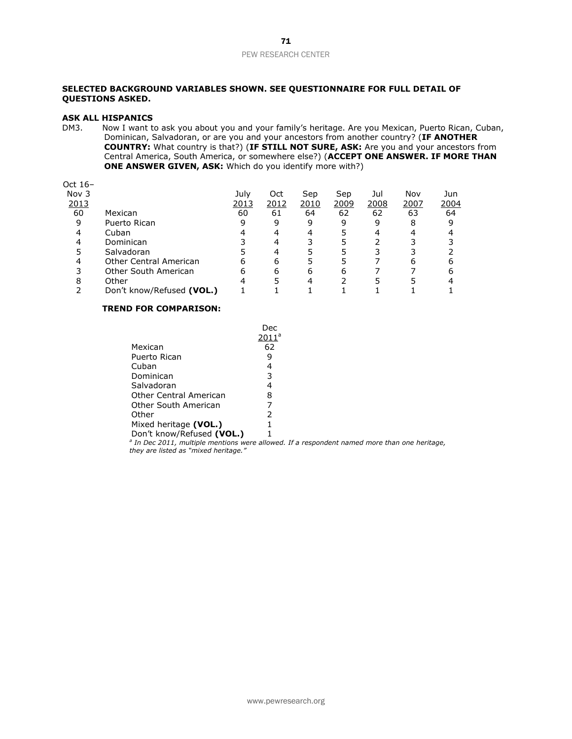### **SELECTED BACKGROUND VARIABLES SHOWN. SEE QUESTIONNAIRE FOR FULL DETAIL OF QUESTIONS ASKED.**

### **ASK ALL HISPANICS**

DM3. Now I want to ask you about you and your family's heritage. Are you Mexican, Puerto Rican, Cuban, Dominican, Salvadoran, or are you and your ancestors from another country? (**IF ANOTHER COUNTRY:** What country is that?) (**IF STILL NOT SURE, ASK:** Are you and your ancestors from Central America, South America, or somewhere else?) (**ACCEPT ONE ANSWER. IF MORE THAN ONE ANSWER GIVEN, ASK:** Which do you identify more with?)

| Oct $16-$ |                               |      |      |      |      |      |      |      |
|-----------|-------------------------------|------|------|------|------|------|------|------|
| Nov 3     |                               | July | Oct  | Sep  | Sep  | Jul  | Nov  | Jun  |
| 2013      |                               | 2013 | 2012 | 2010 | 2009 | 2008 | 2007 | 2004 |
| 60        | Mexican                       | 60   | 61   | 64   | 62   | 62   | 63   | 64   |
| 9         | Puerto Rican                  | 9    | 9    | 9    | 9    | 9    | 8    | 9    |
|           | Cuban                         |      |      | 4    |      |      |      |      |
|           | Dominican                     |      |      | 3    |      |      |      |      |
|           | Salvadoran                    |      |      |      |      |      |      |      |
|           | <b>Other Central American</b> | 6    | 6    |      |      |      | 6    |      |
|           | Other South American          | 6    | 6    | 6    | 6    |      |      | 6    |
| 8         | Other                         |      |      | 4    |      |      |      |      |
|           | Don't know/Refused (VOL.)     |      |      |      |      |      |      |      |

### **TREND FOR COMPARISON:**

|                           | Dec      |
|---------------------------|----------|
|                           | $2011^a$ |
| Mexican                   | 62       |
| Puerto Rican              | 9        |
| Cuban                     | 4        |
| Dominican                 | 3        |
| Salvadoran                | 4        |
| Other Central American    | 8        |
| Other South American      | 7        |
| Other                     | 2        |
| Mixed heritage (VOL.)     | 1        |
| Don't know/Refused (VOL.) | 1        |

Don't know/Refused **(VOL.)** 1<br><sup>a</sup> In Dec 2011, multiple mentions were allowed. If a respondent named more than one heritage, *they are listed as "mixed heritage."*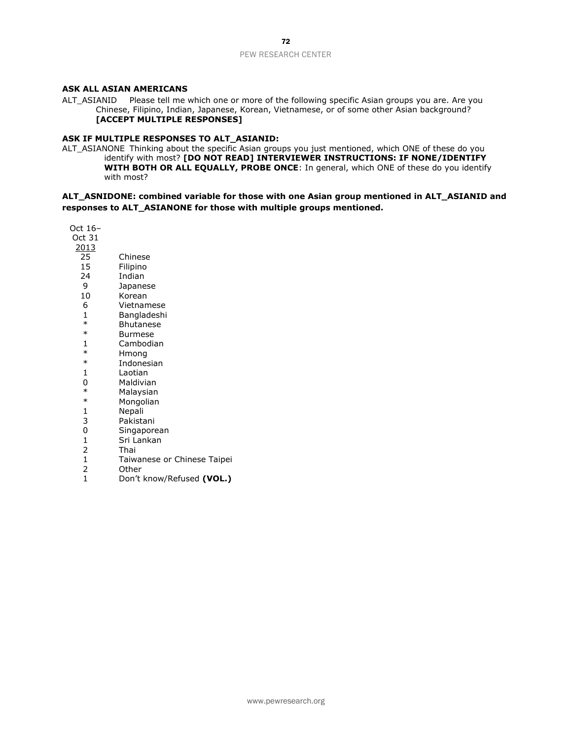### **ASK ALL ASIAN AMERICANS**

ALT\_ASIANID Please tell me which one or more of the following specific Asian groups you are. Are you Chinese, Filipino, Indian, Japanese, Korean, Vietnamese, or of some other Asian background? **[ACCEPT MULTIPLE RESPONSES]**

### **ASK IF MULTIPLE RESPONSES TO ALT\_ASIANID:**

ALT\_ASIANONE Thinking about the specific Asian groups you just mentioned, which ONE of these do you identify with most? **[DO NOT READ] INTERVIEWER INSTRUCTIONS: IF NONE/IDENTIFY WITH BOTH OR ALL EQUALLY, PROBE ONCE**: In general, which ONE of these do you identify with most?

### **ALT\_ASNIDONE: combined variable for those with one Asian group mentioned in ALT\_ASIANID and responses to ALT\_ASIANONE for those with multiple groups mentioned.**

| Oct 16-        |                             |
|----------------|-----------------------------|
| Oct 31         |                             |
| <u> 2013</u>   |                             |
| 25             | Chinese                     |
| 15             | Filipino                    |
| 24             | Indian                      |
| 9              | Japanese                    |
| 10             | Korean                      |
| 6              | Vietnamese                  |
| 1              | Bangladeshi                 |
| $\ast$         | <b>Bhutanese</b>            |
| $\ast$         | Burmese                     |
| 1              | Cambodian                   |
| $\ast$         | Hmong                       |
| $\ast$         | Indonesian                  |
| 1              | Laotian                     |
| 0              | Maldivian                   |
| $\ast$         | Malaysian                   |
| $\ast$         | Mongolian                   |
| 1              | Nepali                      |
| 3              | Pakistani                   |
| 0              | Singaporean                 |
| $\mathbf{1}$   | Sri Lankan                  |
| $\overline{2}$ | Thai                        |
| $\mathbf{1}$   | Taiwanese or Chinese Taipei |
| 2              | Other                       |
| $\overline{1}$ | Don't know/Refused (VOL.)   |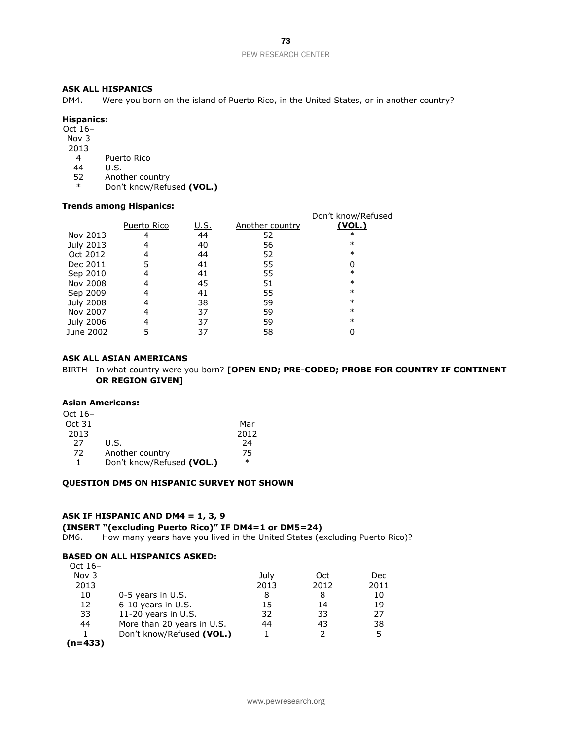### **ASK ALL HISPANICS**

DM4. Were you born on the island of Puerto Rico, in the United States, or in another country?

### **Hispanics:**

Oct 16–

Nov 3 2013

4 Puerto Rico

44 U.S.

52 Another country

\* Don't know/Refused **(VOL.)**

#### **Trends among Hispanics:**

|                  |             |      |                 | Don't know/Refused |
|------------------|-------------|------|-----------------|--------------------|
|                  | Puerto Rico | U.S. | Another country | <u>(VOL.)</u>      |
| Nov 2013         | 4           | 44   | 52              | $\ast$             |
| July 2013        | 4           | 40   | 56              | $\ast$             |
| Oct 2012         | 4           | 44   | 52              | $\ast$             |
| Dec 2011         | 5           | 41   | 55              | 0                  |
| Sep 2010         | 4           | 41   | 55              | $\ast$             |
| Nov 2008         | 4           | 45   | 51              | $\ast$             |
| Sep 2009         | 4           | 41   | 55              | $\ast$             |
| <b>July 2008</b> | 4           | 38   | 59              | $\ast$             |
| Nov 2007         | 4           | 37   | 59              | $\ast$             |
| July 2006        | 4           | 37   | 59              | $\ast$             |
| June 2002        |             | 37   | 58              |                    |
|                  |             |      |                 |                    |

### **ASK ALL ASIAN AMERICANS**

BIRTH In what country were you born? **[OPEN END; PRE-CODED; PROBE FOR COUNTRY IF CONTINENT OR REGION GIVEN]** 

#### **Asian Americans:**

| Oct 16- |                           |        |
|---------|---------------------------|--------|
| Oct 31  |                           | Mar    |
| 2013    |                           | 2012   |
| 27      | U.S.                      | 24     |
| 72      | Another country           | 75     |
| 1       | Don't know/Refused (VOL.) | $\ast$ |

### **QUESTION DM5 ON HISPANIC SURVEY NOT SHOWN**

#### **ASK IF HISPANIC AND DM4 = 1, 3, 9**

#### **(INSERT "(excluding Puerto Rico)" IF DM4=1 or DM5=24)**

DM6. How many years have you lived in the United States (excluding Puerto Rico)?

#### **BASED ON ALL HISPANICS ASKED:**  $Oct~16$

| UCL 10-      |                            |      |      |      |
|--------------|----------------------------|------|------|------|
| Nov 3        |                            | July | Oct  | Dec  |
| <u> 2013</u> |                            | 2013 | 2012 | 2011 |
| 10           | 0-5 years in U.S.          | 8    | 8    | 10   |
| 12           | 6-10 years in U.S.         | 15   | 14   | 19   |
| 33           | 11-20 years in U.S.        | 32   | 33   | 27   |
| 44           | More than 20 years in U.S. | 44   | 43   | 38   |
|              | Don't know/Refused (VOL.)  |      |      | 5    |
| $(n=433)$    |                            |      |      |      |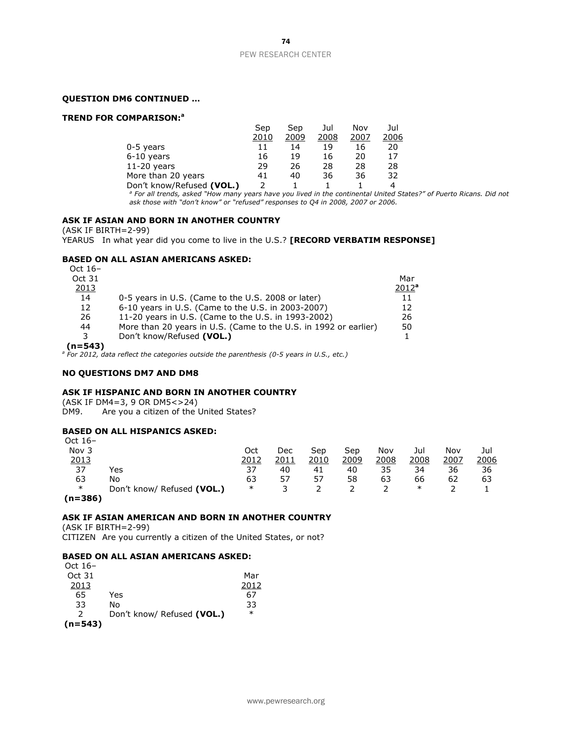### **QUESTION DM6 CONTINUED …**

#### **TREND FOR COMPARISON:<sup>a</sup>**

|                           | Sep  | Sep  | Jul  | Nov  | Jul  |
|---------------------------|------|------|------|------|------|
|                           | 2010 | 2009 | 2008 | 2007 | 2006 |
| 0-5 years                 | 11   | 14   | 19   | 16   | 20   |
| 6-10 years                | 16   | 19   | 16   | 20   | 17   |
| $11-20$ years             | 29   | 26   | 28   | 28   | 28   |
| More than 20 years        | 41   | 40   | 36   | 36   | 32   |
| Don't know/Refused (VOL.) |      |      |      |      | 4    |

*<sup>a</sup> For all trends, asked "How many years have you lived in the continental United States?" of Puerto Ricans. Did not ask those with "don't know" or "refused" responses to Q4 in 2008, 2007 or 2006.*

### **ASK IF ASIAN AND BORN IN ANOTHER COUNTRY**

(ASK IF BIRTH=2-99)

YEARUS In what year did you come to live in the U.S.? **[RECORD VERBATIM RESPONSE]**

### **BASED ON ALL ASIAN AMERICANS ASKED:**

| Oct $16-$ |                                                                  |          |
|-----------|------------------------------------------------------------------|----------|
| Oct 31    |                                                                  | Mar      |
| 2013      |                                                                  | $2012^a$ |
| 14        | 0-5 years in U.S. (Came to the U.S. 2008 or later)               | 11       |
| 12        | 6-10 years in U.S. (Came to the U.S. in 2003-2007)               | 12       |
| 26        | 11-20 years in U.S. (Came to the U.S. in 1993-2002)              | 26       |
| 44        | More than 20 years in U.S. (Came to the U.S. in 1992 or earlier) | 50       |
| 3         | Don't know/Refused (VOL.)                                        |          |
| (n=543)   |                                                                  |          |

**(n=543)**

*<sup>a</sup> For 2012, data reflect the categories outside the parenthesis (0-5 years in U.S., etc.)*

#### **NO QUESTIONS DM7 AND DM8**

### **ASK IF HISPANIC AND BORN IN ANOTHER COUNTRY**

(ASK IF DM4=3, 9 OR DM5<>24)

DM9. Are you a citizen of the United States?

### **BASED ON ALL HISPANICS ASKED:**

| Oct 16-     |                            |        |      |      |      |      |      |      |      |
|-------------|----------------------------|--------|------|------|------|------|------|------|------|
| Nov 3       |                            | Oct    | Dec  | Sep  | Sep  | Nov  | Jul  | Nov  | Jul  |
| 2013        |                            | 2012   | 2011 | 2010 | 2009 | 2008 | 2008 | 2007 | 2006 |
| 37          | Yes                        | 37     | 40   | 41   | 40   | 35   | 34   | 36   | 36   |
| 63          | No                         | 63     | 57   | 57   | 58   | 63   | 66   | 62   | 63   |
| $\ast$      | Don't know/ Refused (VOL.) | $\ast$ |      |      |      |      | ∗    |      |      |
| $(n - 20C)$ |                            |        |      |      |      |      |      |      |      |

**(n=386)**

### **ASK IF ASIAN AMERICAN AND BORN IN ANOTHER COUNTRY**

(ASK IF BIRTH=2-99) CITIZEN Are you currently a citizen of the United States, or not?

### **BASED ON ALL ASIAN AMERICANS ASKED:**

| Oct $16-$     |                            |        |
|---------------|----------------------------|--------|
| Oct 31        |                            | Mar    |
| 2013          |                            | 2012   |
| 65            | Yes                        | 67     |
| 33            | No                         | 33     |
| $\mathcal{L}$ | Don't know/ Refused (VOL.) | $\ast$ |
| $(n=543)$     |                            |        |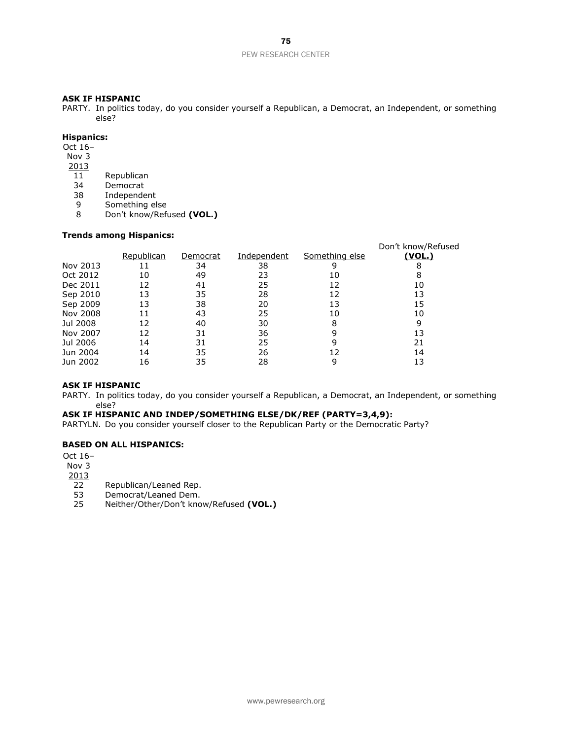#### **ASK IF HISPANIC**

PARTY. In politics today, do you consider yourself a Republican, a Democrat, an Independent, or something else?

### **Hispanics:**

Oct 16–

- Nov 3
- 2013
- 11 Republican<br>34 Democrat
- 34 Democrat<br>38 Independe
- 38 Independent<br>9 Something el
- Something else
- 8 Don't know/Refused **(VOL.)**

### **Trends among Hispanics:**

|          |            |          |             |                | Don't know/Refused |
|----------|------------|----------|-------------|----------------|--------------------|
|          | Republican | Democrat | Independent | Something else | (VOL.)             |
| Nov 2013 | 11         | 34       | 38          | 9              | 8                  |
| Oct 2012 | 10         | 49       | 23          | 10             | 8                  |
| Dec 2011 | 12         | 41       | 25          | 12             | 10                 |
| Sep 2010 | 13         | 35       | 28          | 12             | 13                 |
| Sep 2009 | 13         | 38       | 20          | 13             | 15                 |
| Nov 2008 | 11         | 43       | 25          | 10             | 10                 |
| Jul 2008 | 12         | 40       | 30          | 8              | 9                  |
| Nov 2007 | 12         | 31       | 36          | 9              | 13                 |
| Jul 2006 | 14         | 31       | 25          | 9              | 21                 |
| Jun 2004 | 14         | 35       | 26          | 12             | 14                 |
| Jun 2002 | 16         | 35       | 28          | 9              | 13                 |

#### **ASK IF HISPANIC**

PARTY. In politics today, do you consider yourself a Republican, a Democrat, an Independent, or something else?

### **ASK IF HISPANIC AND INDEP/SOMETHING ELSE/DK/REF (PARTY=3,4,9):**

PARTYLN. Do you consider yourself closer to the Republican Party or the Democratic Party?

### **BASED ON ALL HISPANICS:**

Oct 16–

Nov 3

2013

- 22 Republican/Leaned Rep.
- 53 Democrat/Leaned Dem.<br>25 Neither/Other/Don't kno
- 25 Neither/Other/Don't know/Refused **(VOL.)**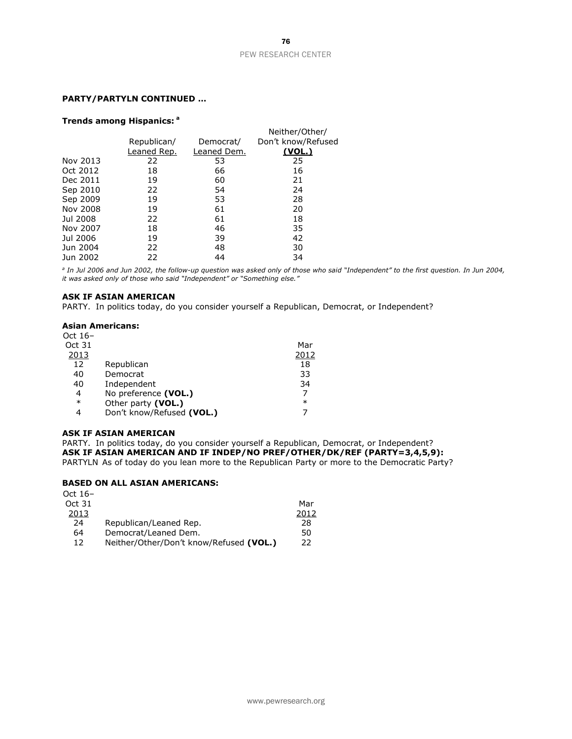### **PARTY/PARTYLN CONTINUED …**

#### **Trends among Hispanics: <sup>a</sup>**

|          |             |             | Neither/Other/     |
|----------|-------------|-------------|--------------------|
|          | Republican/ | Democrat/   | Don't know/Refused |
|          | Leaned Rep. | Leaned Dem. | <u>(VOL.)</u>      |
| Nov 2013 | 22          | 53          | 25                 |
| Oct 2012 | 18          | 66          | 16                 |
| Dec 2011 | 19          | 60          | 21                 |
| Sep 2010 | 22          | 54          | 24                 |
| Sep 2009 | 19          | 53          | 28                 |
| Nov 2008 | 19          | 61          | 20                 |
| Jul 2008 | 22          | 61          | 18                 |
| Nov 2007 | 18          | 46          | 35                 |
| Jul 2006 | 19          | 39          | 42                 |
| Jun 2004 | 22          | 48          | 30                 |
| Jun 2002 | 22          | 44          | 34                 |

*a In Jul 2006 and Jun 2002, the follow-up question was asked only of those who said "Independent" to the first question. In Jun 2004, it was asked only of those who said "Independent" or "Something else."*

#### **ASK IF ASIAN AMERICAN**

PARTY. In politics today, do you consider yourself a Republican, Democrat, or Independent?

### **Asian Americans:**

| Oct $16-$ |                           |        |
|-----------|---------------------------|--------|
| Oct 31    |                           | Mar    |
| 2013      |                           | 2012   |
| 12        | Republican                | 18     |
| 40        | Democrat                  | 33     |
| 40        | Independent               | 34     |
| 4         | No preference (VOL.)      | 7      |
| $\ast$    | Other party (VOL.)        | $\ast$ |
| 4         | Don't know/Refused (VOL.) |        |

#### **ASK IF ASIAN AMERICAN**

PARTY. In politics today, do you consider yourself a Republican, Democrat, or Independent? **ASK IF ASIAN AMERICAN AND IF INDEP/NO PREF/OTHER/DK/REF (PARTY=3,4,5,9):** PARTYLN As of today do you lean more to the Republican Party or more to the Democratic Party?

### **BASED ON ALL ASIAN AMERICANS:**

| Oct $16-$ |                                         |      |
|-----------|-----------------------------------------|------|
| Oct 31    |                                         | Mar  |
| 2013      |                                         | 2012 |
| 24        | Republican/Leaned Rep.                  | 28   |
| 64        | Democrat/Leaned Dem.                    | 50   |
| 12        | Neither/Other/Don't know/Refused (VOL.) | 22   |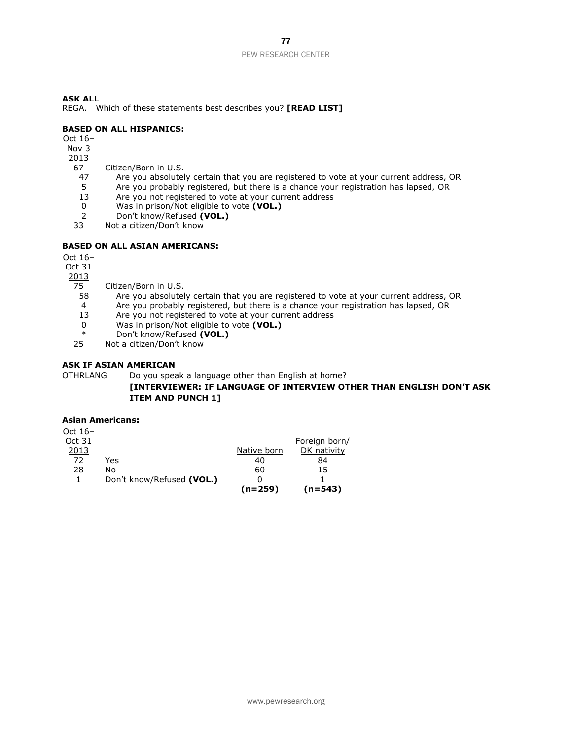REGA. Which of these statements best describes you? **[READ LIST]**

### **BASED ON ALL HISPANICS:**

Oct 16–

#### Nov 3 2013

- 
- 67 Citizen/Born in U.S.<br>47 Are you absolutel Are you absolutely certain that you are registered to vote at your current address, OR
	- 5 Are you probably registered, but there is a chance your registration has lapsed, OR
- 13 Are you not registered to vote at your current address
- 0 Was in prison/Not eligible to vote **(VOL.)**
- 2 Don't know/Refused **(VOL.)**<br>33 Not a citizen/Don't know
- Not a citizen/Don't know

### **BASED ON ALL ASIAN AMERICANS:**

Oct 16–

Oct 31

2013

- 75 Citizen/Born in U.S.
- 58 Are you absolutely certain that you are registered to vote at your current address, OR
- 4 Are you probably registered, but there is a chance your registration has lapsed, OR
- 13 Are you not registered to vote at your current address
- 0 Was in prison/Not eligible to vote **(VOL.)**
- \* Don't know/Refused **(VOL.)**
- Not a citizen/Don't know

### **ASK IF ASIAN AMERICAN**

OTHRLANG Do you speak a language other than English at home?

### **[INTERVIEWER: IF LANGUAGE OF INTERVIEW OTHER THAN ENGLISH DON'T ASK ITEM AND PUNCH 1]**

### **Asian Americans:**

|         |                           | $(n=259)$   | (n=543)       |
|---------|---------------------------|-------------|---------------|
|         | Don't know/Refused (VOL.) |             |               |
| 28      | No                        | 60          | 15            |
| 72      | Yes                       | 40          | 84            |
| 2013    |                           | Native born | DK nativity   |
| Oct 31  |                           |             | Foreign born/ |
| Oct 16– |                           |             |               |